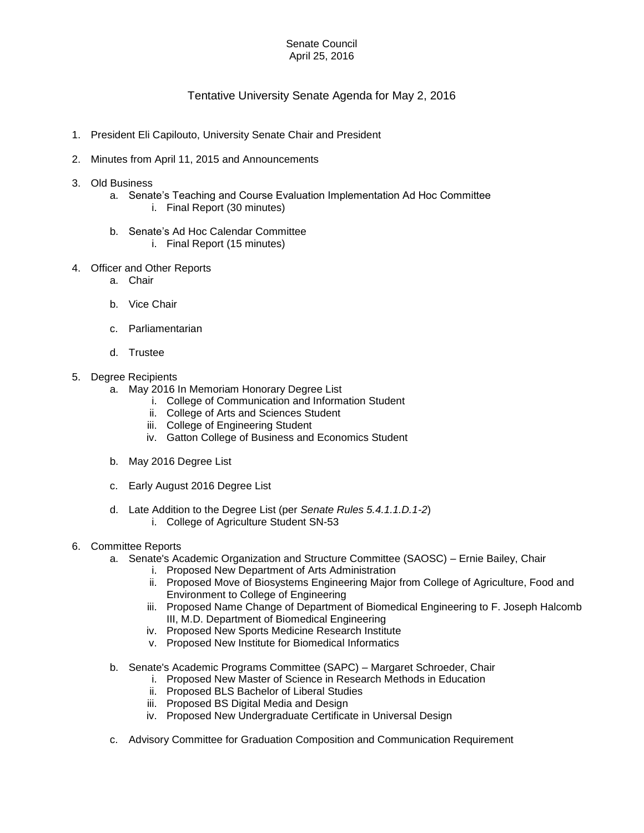## Senate Council April 25, 2016

## Tentative University Senate Agenda for May 2, 2016

- 1. President Eli Capilouto, University Senate Chair and President
- 2. Minutes from April 11, 2015 and Announcements
- 3. Old Business
	- a. Senate's Teaching and Course Evaluation Implementation Ad Hoc Committee i. Final Report (30 minutes)
	- b. Senate's Ad Hoc Calendar Committee
		- i. Final Report (15 minutes)
- 4. Officer and Other Reports
	- a. Chair
	- b. Vice Chair
	- c. Parliamentarian
	- d. Trustee
- 5. Degree Recipients
	- a. May 2016 In Memoriam Honorary Degree List
		- i. College of Communication and Information Student
		- ii. College of Arts and Sciences Student
		- iii. College of Engineering Student
		- iv. Gatton College of Business and Economics Student
	- b. May 2016 Degree List
	- c. Early August 2016 Degree List
	- d. Late Addition to the Degree List (per *Senate Rules 5.4.1.1.D.1-2*)
		- i. College of Agriculture Student SN-53
- 6. Committee Reports
	- a. Senate's Academic Organization and Structure Committee (SAOSC) Ernie Bailey, Chair
		- i. Proposed New Department of Arts Administration
		- ii. Proposed Move of Biosystems Engineering Major from College of Agriculture, Food and Environment to College of Engineering
		- iii. Proposed Name Change of Department of Biomedical Engineering to F. Joseph Halcomb III, M.D. Department of Biomedical Engineering
		- iv. Proposed New Sports Medicine Research Institute
		- v. Proposed New Institute for Biomedical Informatics
	- b. Senate's Academic Programs Committee (SAPC) Margaret Schroeder, Chair
		- i. Proposed New Master of Science in Research Methods in Education
		- ii. Proposed BLS Bachelor of Liberal Studies
		- iii. Proposed BS Digital Media and Design
		- iv. Proposed New Undergraduate Certificate in Universal Design
	- c. Advisory Committee for Graduation Composition and Communication Requirement